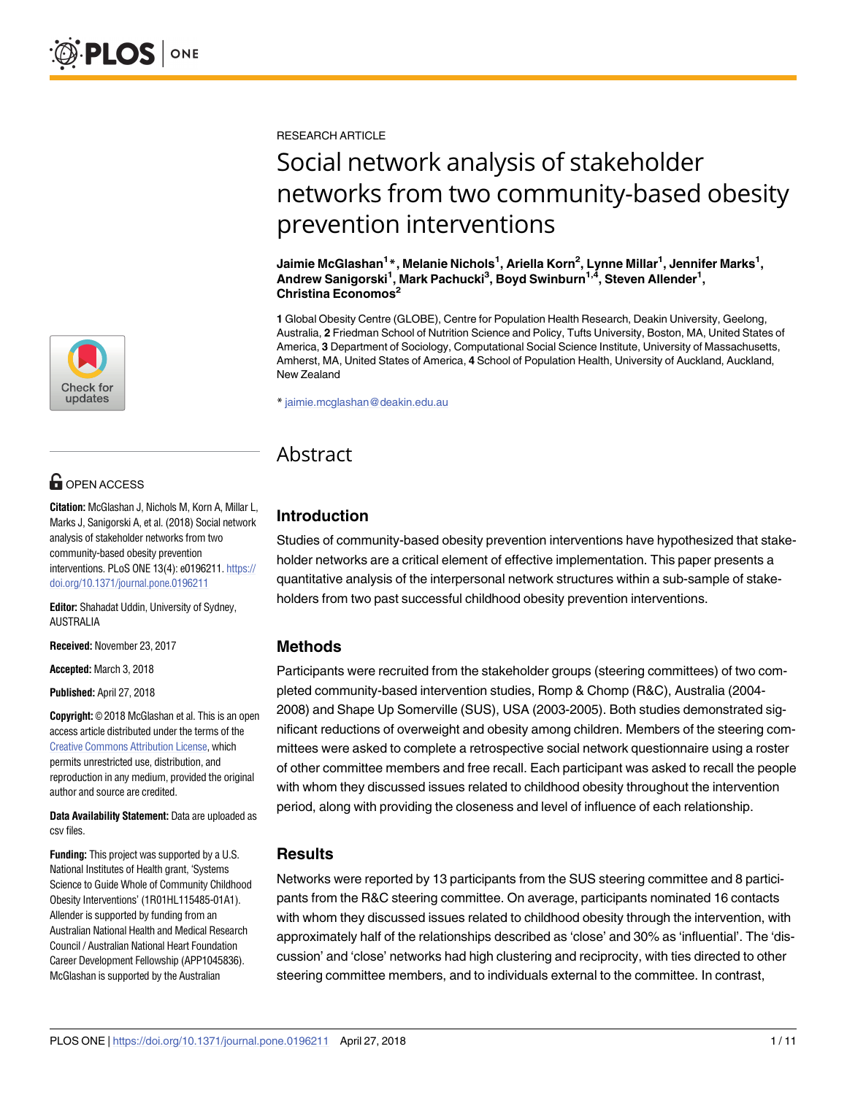

# **OPEN ACCESS**

**Citation:** McGlashan J, Nichols M, Korn A, Millar L, Marks J, Sanigorski A, et al. (2018) Social network analysis of stakeholder networks from two community-based obesity prevention interventions. PLoS ONE 13(4): e0196211. [https://](https://doi.org/10.1371/journal.pone.0196211) [doi.org/10.1371/journal.pone.0196211](https://doi.org/10.1371/journal.pone.0196211)

**Editor:** Shahadat Uddin, University of Sydney, AUSTRALIA

**Received:** November 23, 2017

**Accepted:** March 3, 2018

**Published:** April 27, 2018

**Copyright:** © 2018 McGlashan et al. This is an open access article distributed under the terms of the Creative Commons [Attribution](http://creativecommons.org/licenses/by/4.0/) License, which permits unrestricted use, distribution, and reproduction in any medium, provided the original author and source are credited.

**Data Availability Statement:** Data are uploaded as csv files.

**Funding:** This project was supported by a U.S. National Institutes of Health grant, 'Systems Science to Guide Whole of Community Childhood Obesity Interventions' (1R01HL115485-01A1). Allender is supported by funding from an Australian National Health and Medical Research Council / Australian National Heart Foundation Career Development Fellowship (APP1045836). McGlashan is supported by the Australian

RESEARCH ARTICLE

# Social network analysis of stakeholder networks from two community-based obesity prevention interventions

**Jaimie McGlashan1 \*, Melanie Nichols1 , Ariella Korn2 , Lynne Millar1 , Jennifer Marks1 , Andrew Sanigorski1 , Mark Pachucki3 , Boyd Swinburn1,4, Steven Allender1 , Christina Economos2**

**1** Global Obesity Centre (GLOBE), Centre for Population Health Research, Deakin University, Geelong, Australia, **2** Friedman School of Nutrition Science and Policy, Tufts University, Boston, MA, United States of America, **3** Department of Sociology, Computational Social Science Institute, University of Massachusetts, Amherst, MA, United States of America, **4** School of Population Health, University of Auckland, Auckland, New Zealand

\* jaimie.mcglashan@deakin.edu.au

# Abstract

# **Introduction**

Studies of community-based obesity prevention interventions have hypothesized that stakeholder networks are a critical element of effective implementation. This paper presents a quantitative analysis of the interpersonal network structures within a sub-sample of stakeholders from two past successful childhood obesity prevention interventions.

# **Methods**

Participants were recruited from the stakeholder groups (steering committees) of two completed community-based intervention studies, Romp & Chomp (R&C), Australia (2004- 2008) and Shape Up Somerville (SUS), USA (2003-2005). Both studies demonstrated significant reductions of overweight and obesity among children. Members of the steering committees were asked to complete a retrospective social network questionnaire using a roster of other committee members and free recall. Each participant was asked to recall the people with whom they discussed issues related to childhood obesity throughout the intervention period, along with providing the closeness and level of influence of each relationship.

# **Results**

Networks were reported by 13 participants from the SUS steering committee and 8 participants from the R&C steering committee. On average, participants nominated 16 contacts with whom they discussed issues related to childhood obesity through the intervention, with approximately half of the relationships described as 'close' and 30% as 'influential'. The 'discussion' and 'close' networks had high clustering and reciprocity, with ties directed to other steering committee members, and to individuals external to the committee. In contrast,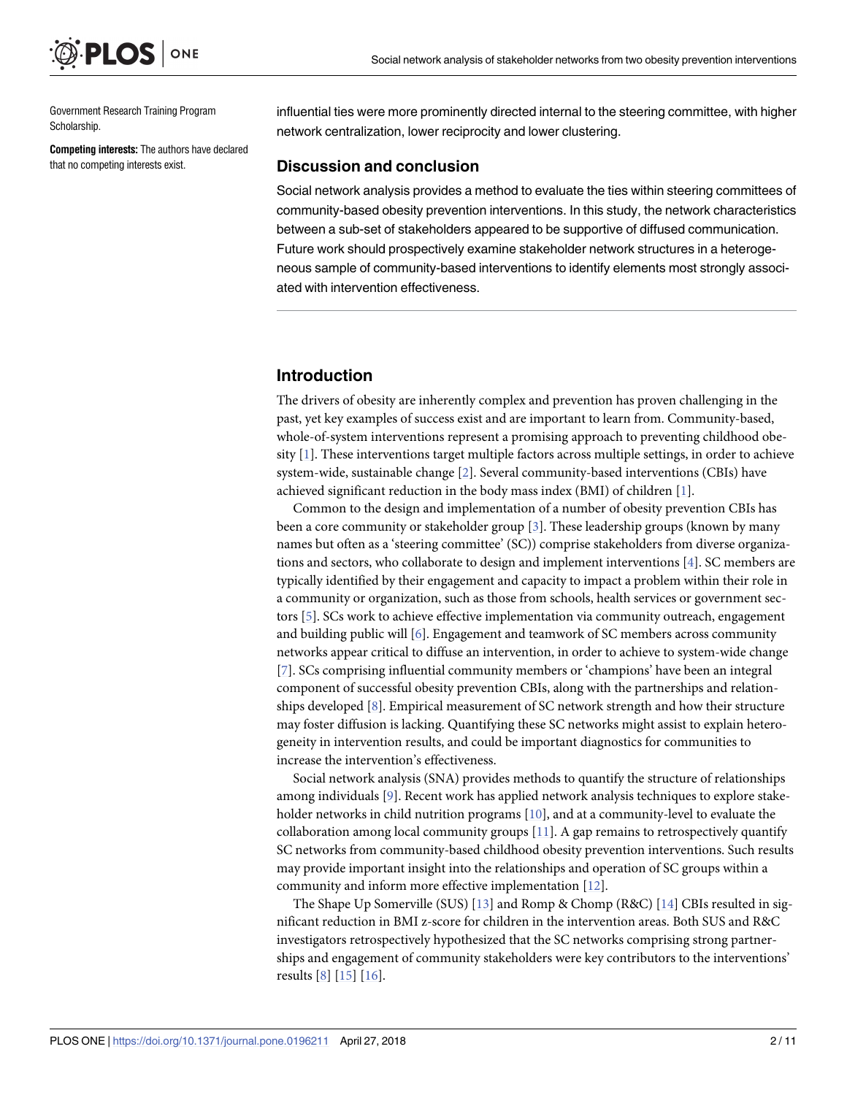<span id="page-1-0"></span>

Government Research Training Program Scholarship.

**Competing interests:** The authors have declared that no competing interests exist.

influential ties were more prominently directed internal to the steering committee, with higher network centralization, lower reciprocity and lower clustering.

## **Discussion and conclusion**

Social network analysis provides a method to evaluate the ties within steering committees of community-based obesity prevention interventions. In this study, the network characteristics between a sub-set of stakeholders appeared to be supportive of diffused communication. Future work should prospectively examine stakeholder network structures in a heterogeneous sample of community-based interventions to identify elements most strongly associated with intervention effectiveness.

# **Introduction**

The drivers of obesity are inherently complex and prevention has proven challenging in the past, yet key examples of success exist and are important to learn from. Community-based, whole-of-system interventions represent a promising approach to preventing childhood obe-sity [\[1](#page-9-0)]. These interventions target multiple factors across multiple settings, in order to achieve system-wide, sustainable change [\[2\]](#page-9-0). Several community-based interventions (CBIs) have achieved significant reduction in the body mass index (BMI) of children [\[1\]](#page-9-0).

Common to the design and implementation of a number of obesity prevention CBIs has been a core community or stakeholder group [[3\]](#page-9-0). These leadership groups (known by many names but often as a 'steering committee' (SC)) comprise stakeholders from diverse organizations and sectors, who collaborate to design and implement interventions [\[4\]](#page-9-0). SC members are typically identified by their engagement and capacity to impact a problem within their role in a community or organization, such as those from schools, health services or government sectors [\[5\]](#page-9-0). SCs work to achieve effective implementation via community outreach, engagement and building public will [\[6\]](#page-9-0). Engagement and teamwork of SC members across community networks appear critical to diffuse an intervention, in order to achieve to system-wide change [\[7](#page-9-0)]. SCs comprising influential community members or 'champions' have been an integral component of successful obesity prevention CBIs, along with the partnerships and relationships developed [[8](#page-9-0)]. Empirical measurement of SC network strength and how their structure may foster diffusion is lacking. Quantifying these SC networks might assist to explain heterogeneity in intervention results, and could be important diagnostics for communities to increase the intervention's effectiveness.

Social network analysis (SNA) provides methods to quantify the structure of relationships among individuals [[9\]](#page-9-0). Recent work has applied network analysis techniques to explore stakeholder networks in child nutrition programs [\[10\]](#page-9-0), and at a community-level to evaluate the collaboration among local community groups [[11](#page-10-0)]. A gap remains to retrospectively quantify SC networks from community-based childhood obesity prevention interventions. Such results may provide important insight into the relationships and operation of SC groups within a community and inform more effective implementation [[12](#page-10-0)].

The Shape Up Somerville (SUS) [\[13\]](#page-10-0) and Romp & Chomp (R&C) [[14](#page-10-0)] CBIs resulted in significant reduction in BMI z-score for children in the intervention areas. Both SUS and R&C investigators retrospectively hypothesized that the SC networks comprising strong partnerships and engagement of community stakeholders were key contributors to the interventions' results [\[8](#page-9-0)] [\[15\]](#page-10-0) [[16](#page-10-0)].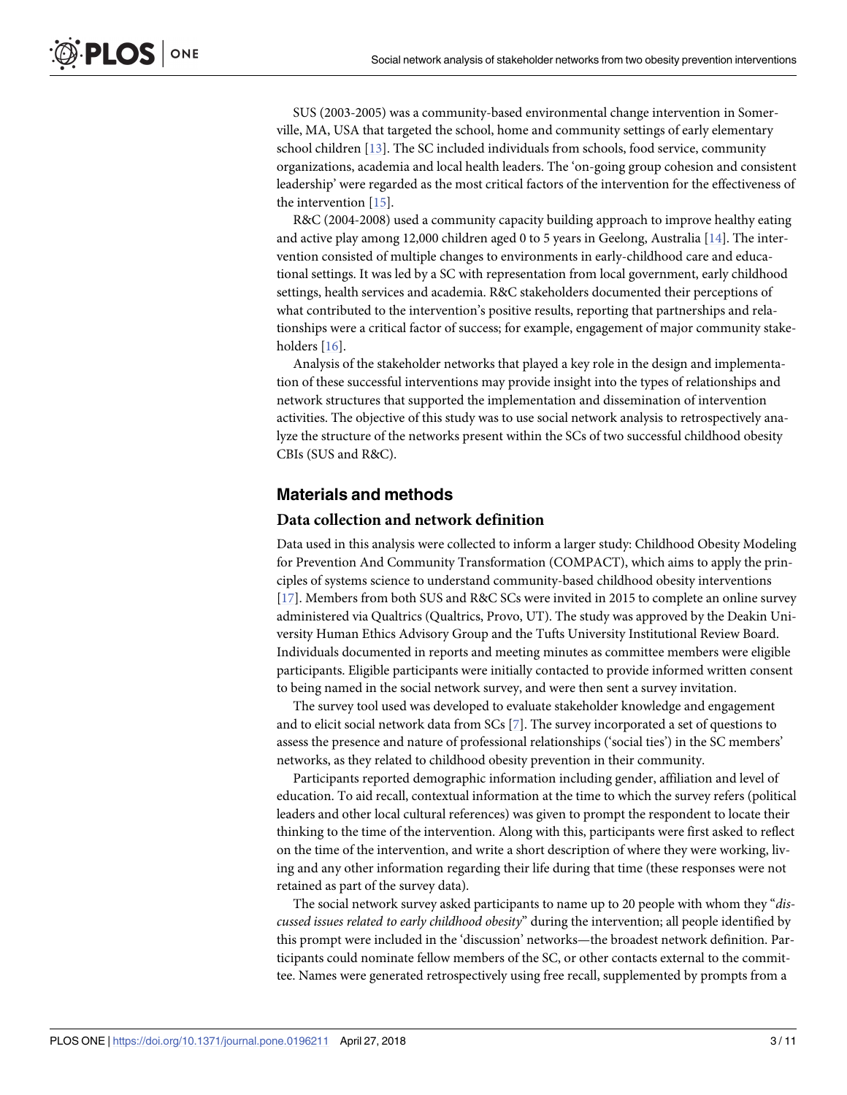<span id="page-2-0"></span>SUS (2003-2005) was a community-based environmental change intervention in Somerville, MA, USA that targeted the school, home and community settings of early elementary school children [[13](#page-10-0)]. The SC included individuals from schools, food service, community organizations, academia and local health leaders. The 'on-going group cohesion and consistent leadership' were regarded as the most critical factors of the intervention for the effectiveness of the intervention [[15](#page-10-0)].

R&C (2004-2008) used a community capacity building approach to improve healthy eating and active play among 12,000 children aged 0 to 5 years in Geelong, Australia [\[14\]](#page-10-0). The intervention consisted of multiple changes to environments in early-childhood care and educational settings. It was led by a SC with representation from local government, early childhood settings, health services and academia. R&C stakeholders documented their perceptions of what contributed to the intervention's positive results, reporting that partnerships and relationships were a critical factor of success; for example, engagement of major community stakeholders [\[16\]](#page-10-0).

Analysis of the stakeholder networks that played a key role in the design and implementation of these successful interventions may provide insight into the types of relationships and network structures that supported the implementation and dissemination of intervention activities. The objective of this study was to use social network analysis to retrospectively analyze the structure of the networks present within the SCs of two successful childhood obesity CBIs (SUS and R&C).

# **Materials and methods**

#### **Data collection and network definition**

Data used in this analysis were collected to inform a larger study: Childhood Obesity Modeling for Prevention And Community Transformation (COMPACT), which aims to apply the principles of systems science to understand community-based childhood obesity interventions [\[17\]](#page-10-0). Members from both SUS and R&C SCs were invited in 2015 to complete an online survey administered via Qualtrics (Qualtrics, Provo, UT). The study was approved by the Deakin University Human Ethics Advisory Group and the Tufts University Institutional Review Board. Individuals documented in reports and meeting minutes as committee members were eligible participants. Eligible participants were initially contacted to provide informed written consent to being named in the social network survey, and were then sent a survey invitation.

The survey tool used was developed to evaluate stakeholder knowledge and engagement and to elicit social network data from SCs [[7\]](#page-9-0). The survey incorporated a set of questions to assess the presence and nature of professional relationships ('social ties') in the SC members' networks, as they related to childhood obesity prevention in their community.

Participants reported demographic information including gender, affiliation and level of education. To aid recall, contextual information at the time to which the survey refers (political leaders and other local cultural references) was given to prompt the respondent to locate their thinking to the time of the intervention. Along with this, participants were first asked to reflect on the time of the intervention, and write a short description of where they were working, living and any other information regarding their life during that time (these responses were not retained as part of the survey data).

The social network survey asked participants to name up to 20 people with whom they "*discussed issues related to early childhood obesity*" during the intervention; all people identified by this prompt were included in the 'discussion' networks—the broadest network definition. Participants could nominate fellow members of the SC, or other contacts external to the committee. Names were generated retrospectively using free recall, supplemented by prompts from a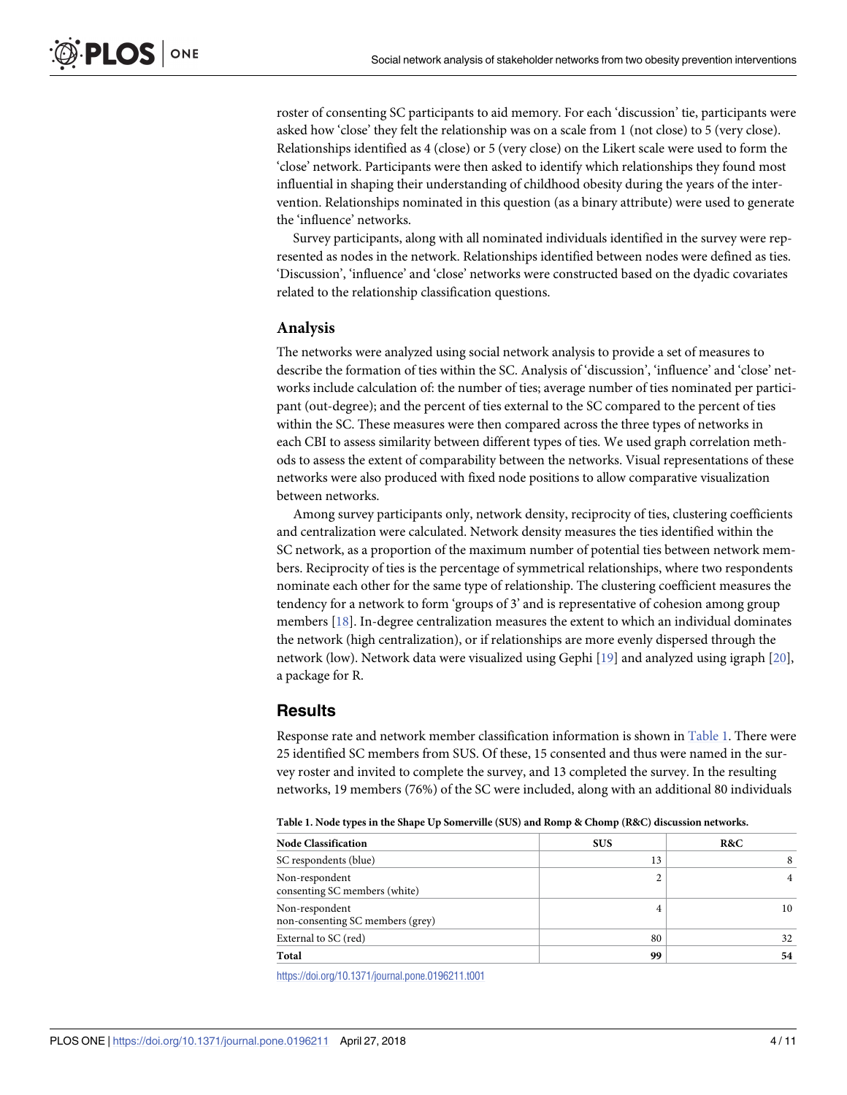<span id="page-3-0"></span>roster of consenting SC participants to aid memory. For each 'discussion' tie, participants were asked how 'close' they felt the relationship was on a scale from 1 (not close) to 5 (very close). Relationships identified as 4 (close) or 5 (very close) on the Likert scale were used to form the 'close' network. Participants were then asked to identify which relationships they found most influential in shaping their understanding of childhood obesity during the years of the intervention. Relationships nominated in this question (as a binary attribute) were used to generate the 'influence' networks.

Survey participants, along with all nominated individuals identified in the survey were represented as nodes in the network. Relationships identified between nodes were defined as ties. 'Discussion', 'influence' and 'close' networks were constructed based on the dyadic covariates related to the relationship classification questions.

#### **Analysis**

The networks were analyzed using social network analysis to provide a set of measures to describe the formation of ties within the SC. Analysis of 'discussion', 'influence' and 'close' networks include calculation of: the number of ties; average number of ties nominated per participant (out-degree); and the percent of ties external to the SC compared to the percent of ties within the SC. These measures were then compared across the three types of networks in each CBI to assess similarity between different types of ties. We used graph correlation methods to assess the extent of comparability between the networks. Visual representations of these networks were also produced with fixed node positions to allow comparative visualization between networks.

Among survey participants only, network density, reciprocity of ties, clustering coefficients and centralization were calculated. Network density measures the ties identified within the SC network, as a proportion of the maximum number of potential ties between network members. Reciprocity of ties is the percentage of symmetrical relationships, where two respondents nominate each other for the same type of relationship. The clustering coefficient measures the tendency for a network to form 'groups of 3' and is representative of cohesion among group members [[18](#page-10-0)]. In-degree centralization measures the extent to which an individual dominates the network (high centralization), or if relationships are more evenly dispersed through the network (low). Network data were visualized using Gephi [\[19\]](#page-10-0) and analyzed using igraph [\[20\]](#page-10-0), a package for R.

## **Results**

Response rate and network member classification information is shown in Table 1. There were 25 identified SC members from SUS. Of these, 15 consented and thus were named in the survey roster and invited to complete the survey, and 13 completed the survey. In the resulting networks, 19 members (76%) of the SC were included, along with an additional 80 individuals

| Table 1. Pour types in the shape Up somet vine (SUS) and Komp & Chomp (K&C) discussion networks. |            |     |  |  |
|--------------------------------------------------------------------------------------------------|------------|-----|--|--|
| <b>Node Classification</b>                                                                       | <b>SUS</b> | R&C |  |  |
| SC respondents (blue)                                                                            | 13         |     |  |  |
| Non-respondent<br>consenting SC members (white)                                                  |            |     |  |  |
| Non-respondent<br>non-consenting SC members (grey)                                               |            | 10  |  |  |
| External to SC (red)                                                                             | 80         | 32  |  |  |
| Total                                                                                            | 99         | 54  |  |  |
|                                                                                                  |            |     |  |  |

**Table 1. Node types in the Shape Up Somerville (SUS) and Romp & Chomp (R&C) discussion networks.**

<https://doi.org/10.1371/journal.pone.0196211.t001>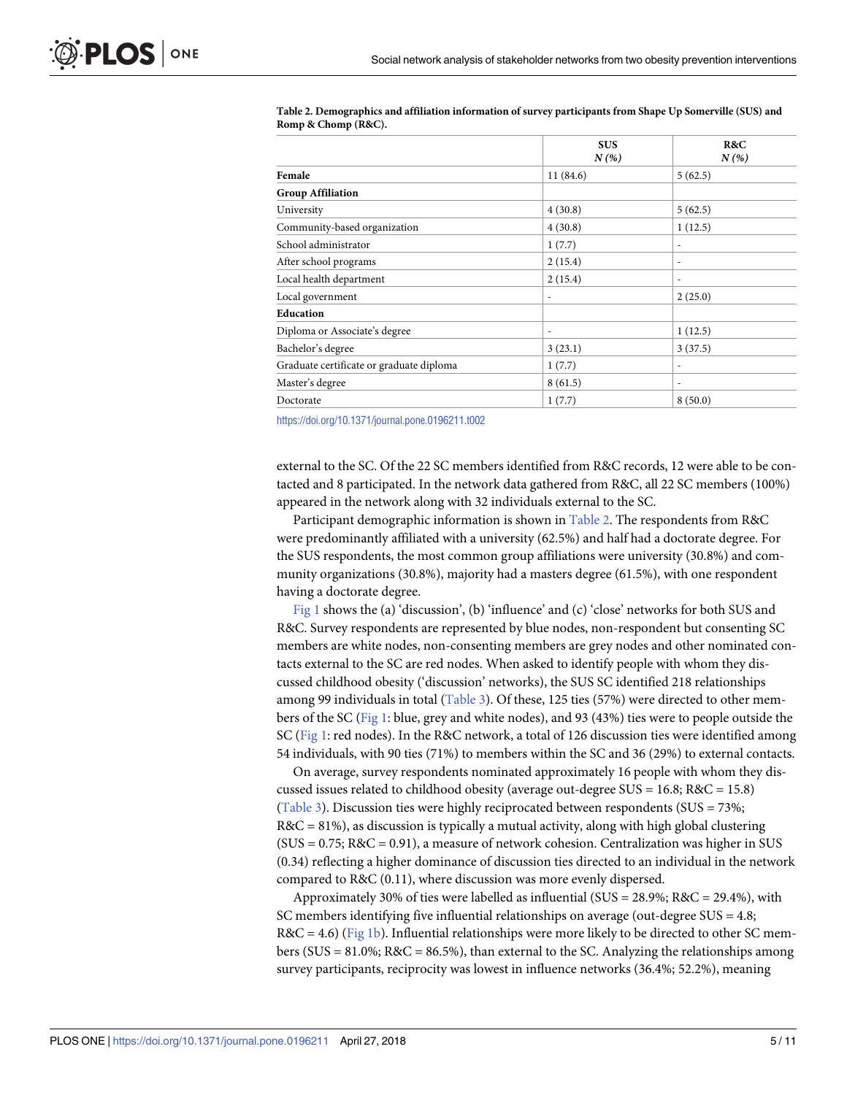|                                          | <b>SUS</b><br>$N(\%)$    | R&C<br>$N(\%)$           |  |
|------------------------------------------|--------------------------|--------------------------|--|
| Female                                   | 11(84.6)                 | 5(62.5)                  |  |
| <b>Group Affiliation</b>                 |                          |                          |  |
| University                               | 4(30.8)                  | 5(62.5)                  |  |
| Community-based organization             | 4(30.8)                  | 1(12.5)                  |  |
| School administrator                     | 1(7.7)                   | $\overline{\phantom{0}}$ |  |
| After school programs                    | 2(15.4)                  | ٠                        |  |
| Local health department                  | 2(15.4)                  | ۰                        |  |
| Local government                         | $\overline{\phantom{a}}$ | 2(25.0)                  |  |
| Education                                |                          |                          |  |
| Diploma or Associate's degree            | $\overline{\phantom{a}}$ | 1(12.5)                  |  |
| Bachelor's degree                        | 3(23.1)                  | 3(37.5)                  |  |
| Graduate certificate or graduate diploma | 1(7.7)                   | ٠                        |  |
| Master's degree                          | 8(61.5)                  | ٠                        |  |
| Doctorate                                | 1(7.7)                   | 8(50.0)                  |  |

<span id="page-4-0"></span>**Table 2. Demographics and affiliation information of survey participants from Shape Up Somerville (SUS) and Romp & Chomp (R&C).**

<https://doi.org/10.1371/journal.pone.0196211.t002>

external to the SC. Of the 22 SC members identified from R&C records, 12 were able to be contacted and 8 participated. In the network data gathered from R&C, all 22 SC members (100%) appeared in the network along with 32 individuals external to the SC.

Participant demographic information is shown in Table 2. The respondents from R&C were predominantly affiliated with a university (62.5%) and half had a doctorate degree. For the SUS respondents, the most common group affiliations were university (30.8%) and community organizations (30.8%), majority had a masters degree (61.5%), with one respondent having a doctorate degree.

[Fig](#page-5-0) 1 shows the (a) 'discussion', (b) 'influence' and (c) 'close' networks for both SUS and R&C. Survey respondents are represented by blue nodes, non-respondent but consenting SC members are white nodes, non-consenting members are grey nodes and other nominated contacts external to the SC are red nodes. When asked to identify people with whom they discussed childhood obesity ('discussion' networks), the SUS SC identified 218 relationships among 99 individuals in total ([Table](#page-6-0) 3). Of these, 125 ties (57%) were directed to other members of the SC ([Fig](#page-5-0) 1: blue, grey and white nodes), and 93 (43%) ties were to people outside the SC ([Fig](#page-5-0) 1: red nodes). In the R&C network, a total of 126 discussion ties were identified among 54 individuals, with 90 ties (71%) to members within the SC and 36 (29%) to external contacts.

On average, survey respondents nominated approximately 16 people with whom they discussed issues related to childhood obesity (average out-degree SUS = 16.8; R&C = 15.8) [\(Table](#page-6-0) 3). Discussion ties were highly reciprocated between respondents (SUS = 73%;  $R&C = 81\%$ , as discussion is typically a mutual activity, along with high global clustering (SUS = 0.75; R&C = 0.91), a measure of network cohesion. Centralization was higher in SUS (0.34) reflecting a higher dominance of discussion ties directed to an individual in the network compared to R&C (0.11), where discussion was more evenly dispersed.

Approximately 30% of ties were labelled as influential ( $SUS = 28.9$ %;  $R&C = 29.4$ %), with SC members identifying five influential relationships on average (out-degree SUS = 4.8;  $R\&C = 4.6$ ) ([Fig](#page-5-0) 1b). Influential relationships were more likely to be directed to other SC members ( $SUS = 81.0\%$ ;  $R&C = 86.5\%$ ), than external to the SC. Analyzing the relationships among survey participants, reciprocity was lowest in influence networks (36.4%; 52.2%), meaning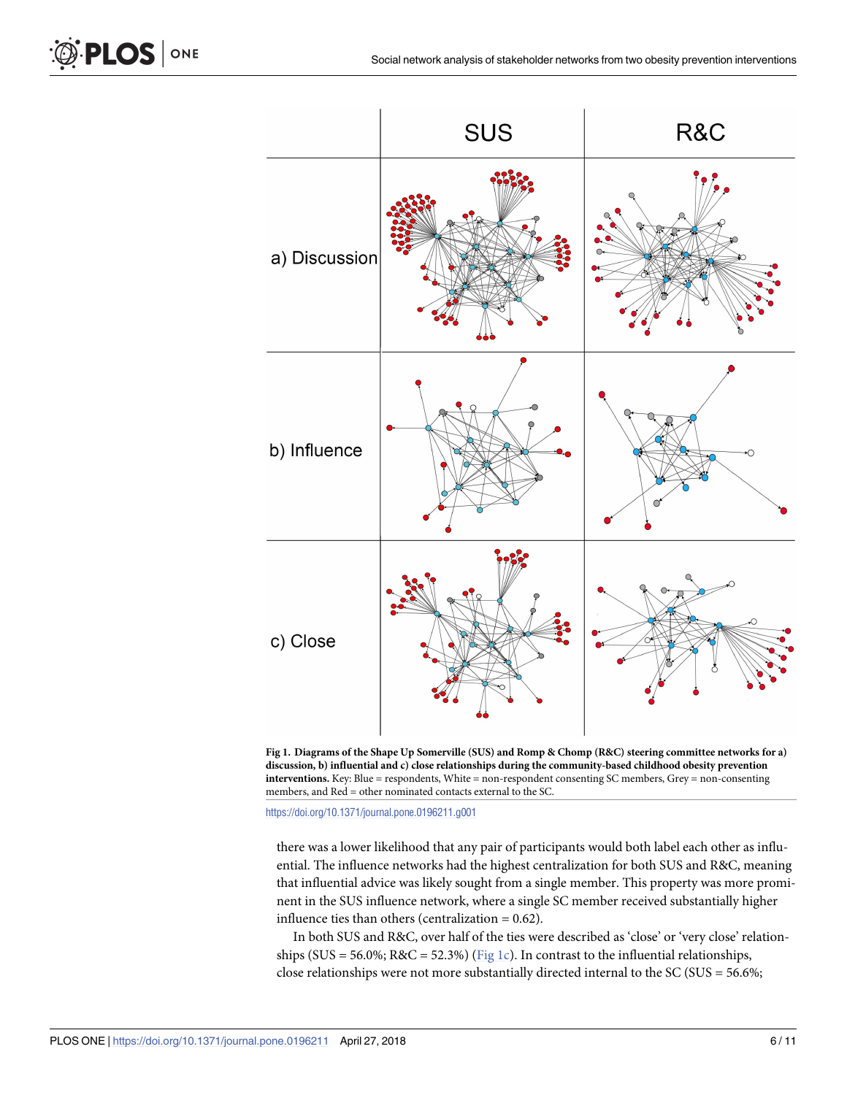



<https://doi.org/10.1371/journal.pone.0196211.g001>

there was a lower likelihood that any pair of participants would both label each other as influential. The influence networks had the highest centralization for both SUS and R&C, meaning that influential advice was likely sought from a single member. This property was more prominent in the SUS influence network, where a single SC member received substantially higher influence ties than others (centralization = 0.62).

In both SUS and R&C, over half of the ties were described as 'close' or 'very close' relationships (SUS = 56.0%; R&C = 52.3%) (Fig 1c). In contrast to the influential relationships, close relationships were not more substantially directed internal to the SC (SUS = 56.6%;

<span id="page-5-0"></span>PLOS ONE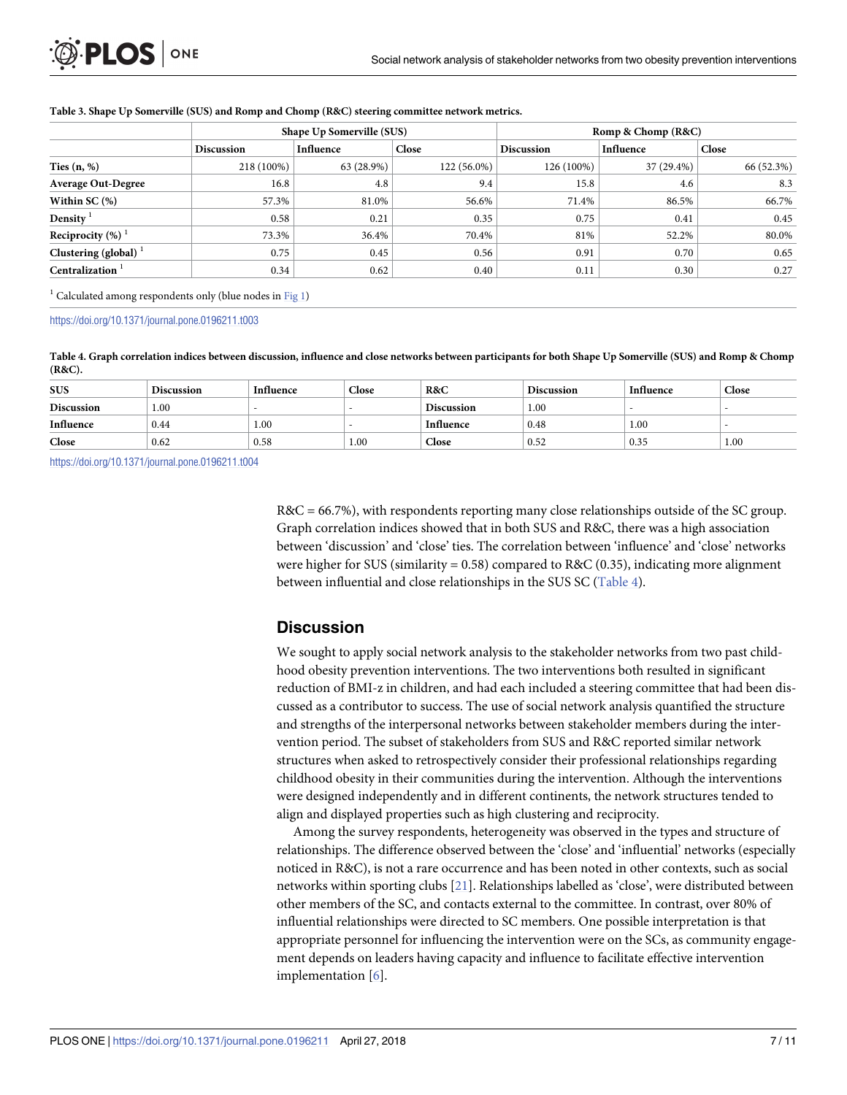|                                 | Shape Up Somerville (SUS) |            |             | Romp & Chomp (R&C) |              |            |  |
|---------------------------------|---------------------------|------------|-------------|--------------------|--------------|------------|--|
|                                 | <b>Discussion</b>         | Influence  | Close       | <b>Discussion</b>  | Influence    | Close      |  |
| Ties $(n, %)$                   | 218 (100%)                | 63 (28.9%) | 122 (56.0%) | 126 (100%)         | $37(29.4\%)$ | 66 (52.3%) |  |
| <b>Average Out-Degree</b>       | 16.8                      | 4.8        | 9.4         | 15.8               | 4.6          | 8.3        |  |
| Within $SC(%)$                  | 57.3%                     | 81.0%      | 56.6%       | 71.4%              | 86.5%        | 66.7%      |  |
| Density $1$                     | 0.58                      | 0.21       | 0.35        | 0.75               | 0.41         | 0.45       |  |
| Reciprocity $(\%)$ <sup>1</sup> | 73.3%                     | 36.4%      | 70.4%       | 81%                | 52.2%        | 80.0%      |  |
| Clustering (global)             | 0.75                      | 0.45       | 0.56        | 0.91               | 0.70         | 0.65       |  |
| Centralization <sup>1</sup>     | 0.34                      | 0.62       | 0.40        | 0.11               | 0.30         | 0.27       |  |

#### <span id="page-6-0"></span>**[Table](#page-4-0) 3. Shape Up Somerville (SUS) and Romp and Chomp (R&C) steering committee network metrics.**

 $^1$  Calculated among respondents only (blue nodes in [Fig](#page-5-0) 1)

<https://doi.org/10.1371/journal.pone.0196211.t003>

Table 4. Graph correlation indices between discussion, influence and close networks between participants for both Shape Up Somerville (SUS) and Romp & Chomp **(R&C).**

| <b>SUS</b>        | <b>Discussion</b> | Influence | Close | R&C               | <b>Discussion</b> | Influence | Close                    |
|-------------------|-------------------|-----------|-------|-------------------|-------------------|-----------|--------------------------|
| <b>Discussion</b> | 1.00              |           |       | <b>Discussion</b> | 1.00              | $\sim$    | $\sim$                   |
| Influence         | 0.44              | 1.00      |       | Influence         | 0.48              | 1.00      | $\overline{\phantom{a}}$ |
| Close             | 0.62              | 0.58      | 1.00  | Close             | 0.52              | 0.35      | 1.00                     |

<https://doi.org/10.1371/journal.pone.0196211.t004>

R&C = 66.7%), with respondents reporting many close relationships outside of the SC group. Graph correlation indices showed that in both SUS and R&C, there was a high association between 'discussion' and 'close' ties. The correlation between 'influence' and 'close' networks were higher for SUS (similarity =  $0.58$ ) compared to R&C (0.35), indicating more alignment between influential and close relationships in the SUS SC (Table 4).

## **Discussion**

We sought to apply social network analysis to the stakeholder networks from two past childhood obesity prevention interventions. The two interventions both resulted in significant reduction of BMI-z in children, and had each included a steering committee that had been discussed as a contributor to success. The use of social network analysis quantified the structure and strengths of the interpersonal networks between stakeholder members during the intervention period. The subset of stakeholders from SUS and R&C reported similar network structures when asked to retrospectively consider their professional relationships regarding childhood obesity in their communities during the intervention. Although the interventions were designed independently and in different continents, the network structures tended to align and displayed properties such as high clustering and reciprocity.

Among the survey respondents, heterogeneity was observed in the types and structure of relationships. The difference observed between the 'close' and 'influential' networks (especially noticed in R&C), is not a rare occurrence and has been noted in other contexts, such as social networks within sporting clubs [\[21\]](#page-10-0). Relationships labelled as 'close', were distributed between other members of the SC, and contacts external to the committee. In contrast, over 80% of influential relationships were directed to SC members. One possible interpretation is that appropriate personnel for influencing the intervention were on the SCs, as community engagement depends on leaders having capacity and influence to facilitate effective intervention implementation [[6\]](#page-9-0).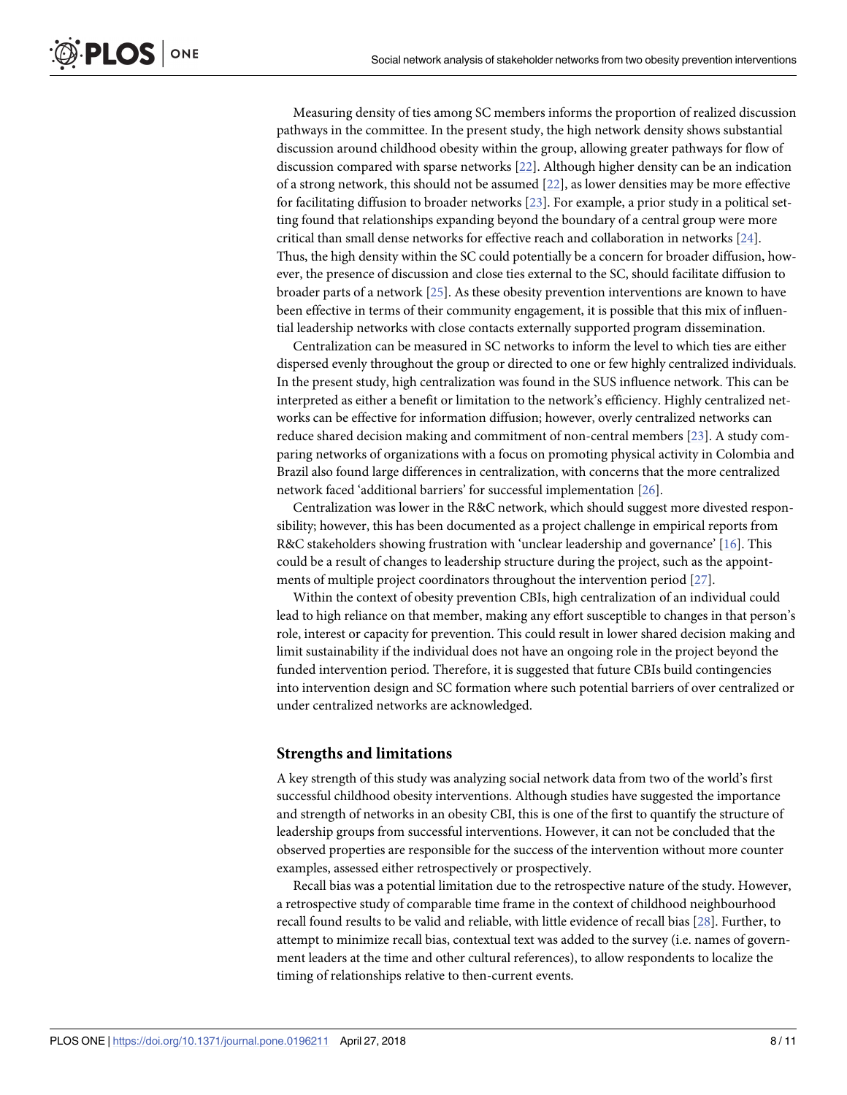<span id="page-7-0"></span>Measuring density of ties among SC members informs the proportion of realized discussion pathways in the committee. In the present study, the high network density shows substantial discussion around childhood obesity within the group, allowing greater pathways for flow of discussion compared with sparse networks [[22](#page-10-0)]. Although higher density can be an indication of a strong network, this should not be assumed [\[22\]](#page-10-0), as lower densities may be more effective for facilitating diffusion to broader networks [[23](#page-10-0)]. For example, a prior study in a political setting found that relationships expanding beyond the boundary of a central group were more critical than small dense networks for effective reach and collaboration in networks [[24](#page-10-0)]. Thus, the high density within the SC could potentially be a concern for broader diffusion, however, the presence of discussion and close ties external to the SC, should facilitate diffusion to broader parts of a network [\[25\]](#page-10-0). As these obesity prevention interventions are known to have been effective in terms of their community engagement, it is possible that this mix of influential leadership networks with close contacts externally supported program dissemination.

Centralization can be measured in SC networks to inform the level to which ties are either dispersed evenly throughout the group or directed to one or few highly centralized individuals. In the present study, high centralization was found in the SUS influence network. This can be interpreted as either a benefit or limitation to the network's efficiency. Highly centralized networks can be effective for information diffusion; however, overly centralized networks can reduce shared decision making and commitment of non-central members [[23](#page-10-0)]. A study comparing networks of organizations with a focus on promoting physical activity in Colombia and Brazil also found large differences in centralization, with concerns that the more centralized network faced 'additional barriers' for successful implementation [\[26\]](#page-10-0).

Centralization was lower in the R&C network, which should suggest more divested responsibility; however, this has been documented as a project challenge in empirical reports from R&C stakeholders showing frustration with 'unclear leadership and governance' [\[16\]](#page-10-0). This could be a result of changes to leadership structure during the project, such as the appointments of multiple project coordinators throughout the intervention period [\[27\]](#page-10-0).

Within the context of obesity prevention CBIs, high centralization of an individual could lead to high reliance on that member, making any effort susceptible to changes in that person's role, interest or capacity for prevention. This could result in lower shared decision making and limit sustainability if the individual does not have an ongoing role in the project beyond the funded intervention period. Therefore, it is suggested that future CBIs build contingencies into intervention design and SC formation where such potential barriers of over centralized or under centralized networks are acknowledged.

#### **Strengths and limitations**

A key strength of this study was analyzing social network data from two of the world's first successful childhood obesity interventions. Although studies have suggested the importance and strength of networks in an obesity CBI, this is one of the first to quantify the structure of leadership groups from successful interventions. However, it can not be concluded that the observed properties are responsible for the success of the intervention without more counter examples, assessed either retrospectively or prospectively.

Recall bias was a potential limitation due to the retrospective nature of the study. However, a retrospective study of comparable time frame in the context of childhood neighbourhood recall found results to be valid and reliable, with little evidence of recall bias [\[28\]](#page-10-0). Further, to attempt to minimize recall bias, contextual text was added to the survey (i.e. names of government leaders at the time and other cultural references), to allow respondents to localize the timing of relationships relative to then-current events.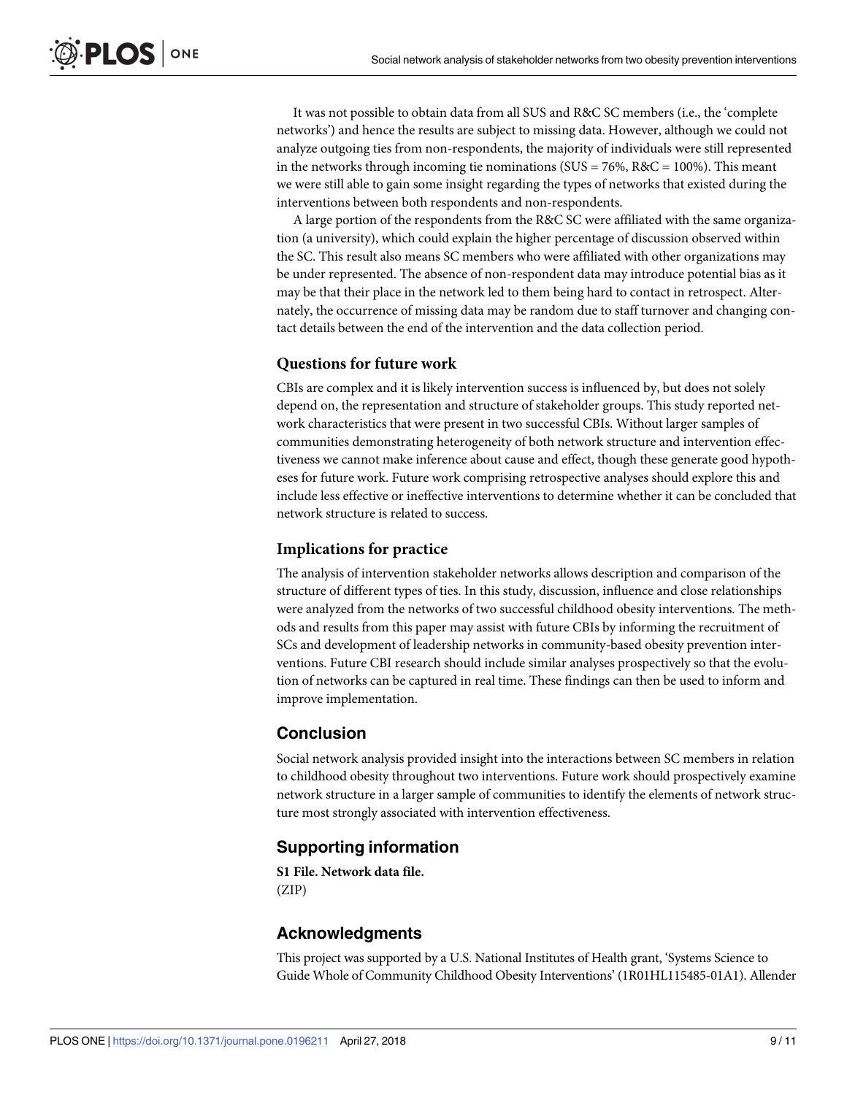It was not possible to obtain data from all SUS and R&C SC members (i.e., the 'complete networks') and hence the results are subject to missing data. However, although we could not analyze outgoing ties from non-respondents, the majority of individuals were still represented in the networks through incoming tie nominations (SUS = 76%, R&C = 100%). This meant we were still able to gain some insight regarding the types of networks that existed during the interventions between both respondents and non-respondents.

A large portion of the respondents from the R&C SC were affiliated with the same organization (a university), which could explain the higher percentage of discussion observed within the SC. This result also means SC members who were affiliated with other organizations may be under represented. The absence of non-respondent data may introduce potential bias as it may be that their place in the network led to them being hard to contact in retrospect. Alternately, the occurrence of missing data may be random due to staff turnover and changing contact details between the end of the intervention and the data collection period.

# **Questions for future work**

CBIs are complex and it is likely intervention success is influenced by, but does not solely depend on, the representation and structure of stakeholder groups. This study reported network characteristics that were present in two successful CBIs. Without larger samples of communities demonstrating heterogeneity of both network structure and intervention effectiveness we cannot make inference about cause and effect, though these generate good hypotheses for future work. Future work comprising retrospective analyses should explore this and include less effective or ineffective interventions to determine whether it can be concluded that network structure is related to success.

# **Implications for practice**

The analysis of intervention stakeholder networks allows description and comparison of the structure of different types of ties. In this study, discussion, influence and close relationships were analyzed from the networks of two successful childhood obesity interventions. The methods and results from this paper may assist with future CBIs by informing the recruitment of SCs and development of leadership networks in community-based obesity prevention interventions. Future CBI research should include similar analyses prospectively so that the evolution of networks can be captured in real time. These findings can then be used to inform and improve implementation.

# **Conclusion**

Social network analysis provided insight into the interactions between SC members in relation to childhood obesity throughout two interventions. Future work should prospectively examine network structure in a larger sample of communities to identify the elements of network structure most strongly associated with intervention effectiveness.

# **Supporting information**

**S1 [File.](http://www.plosone.org/article/fetchSingleRepresentation.action?uri=info:doi/10.1371/journal.pone.0196211.s001) Network data file.** (ZIP)

# **Acknowledgments**

This project was supported by a U.S. National Institutes of Health grant, 'Systems Science to Guide Whole of Community Childhood Obesity Interventions' (1R01HL115485-01A1). Allender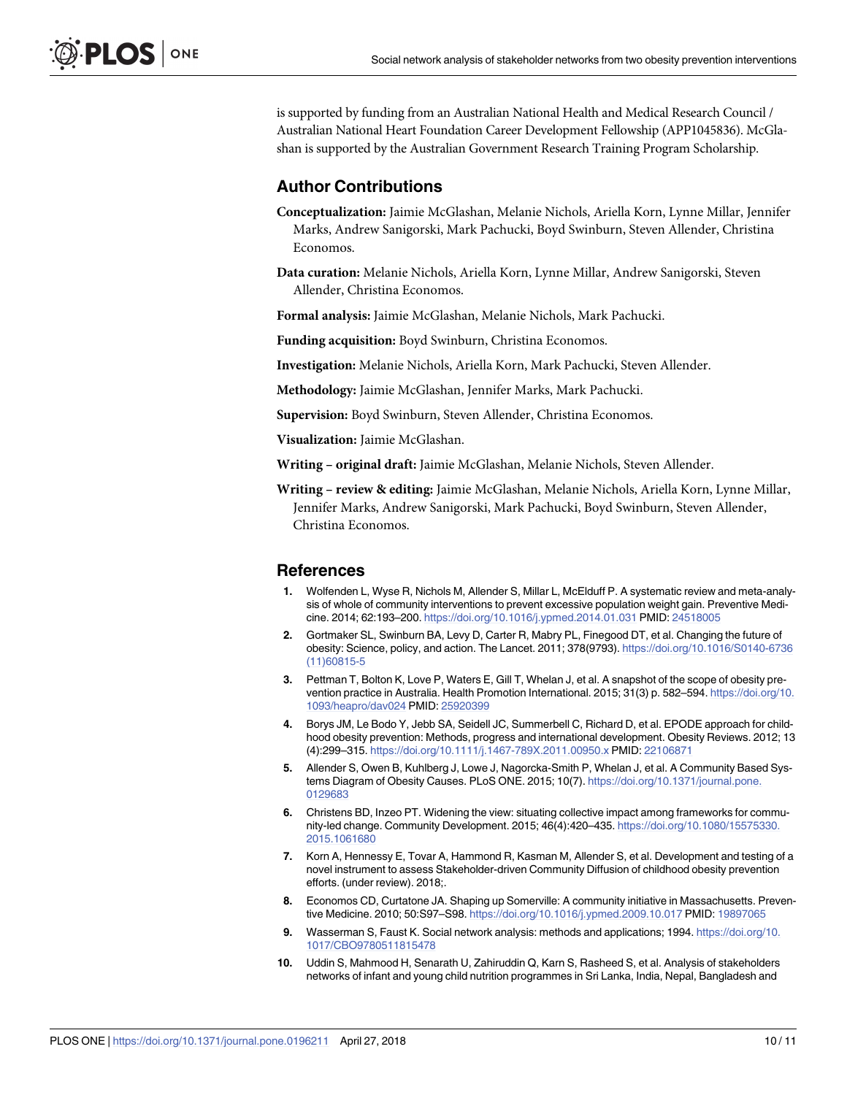<span id="page-9-0"></span>is supported by funding from an Australian National Health and Medical Research Council / Australian National Heart Foundation Career Development Fellowship (APP1045836). McGlashan is supported by the Australian Government Research Training Program Scholarship.

# **Author Contributions**

- **Conceptualization:** Jaimie McGlashan, Melanie Nichols, Ariella Korn, Lynne Millar, Jennifer Marks, Andrew Sanigorski, Mark Pachucki, Boyd Swinburn, Steven Allender, Christina Economos.
- **Data curation:** Melanie Nichols, Ariella Korn, Lynne Millar, Andrew Sanigorski, Steven Allender, Christina Economos.

**Formal analysis:** Jaimie McGlashan, Melanie Nichols, Mark Pachucki.

**Funding acquisition:** Boyd Swinburn, Christina Economos.

**Investigation:** Melanie Nichols, Ariella Korn, Mark Pachucki, Steven Allender.

**Methodology:** Jaimie McGlashan, Jennifer Marks, Mark Pachucki.

**Supervision:** Boyd Swinburn, Steven Allender, Christina Economos.

**Visualization:** Jaimie McGlashan.

**Writing – original draft:** Jaimie McGlashan, Melanie Nichols, Steven Allender.

**Writing – review & editing:** Jaimie McGlashan, Melanie Nichols, Ariella Korn, Lynne Millar, Jennifer Marks, Andrew Sanigorski, Mark Pachucki, Boyd Swinburn, Steven Allender, Christina Economos.

#### **References**

- **[1](#page-1-0).** Wolfenden L, Wyse R, Nichols M, Allender S, Millar L, McElduff P. A systematic review and meta-analysis of whole of community interventions to prevent excessive population weight gain. Preventive Medicine. 2014; 62:193–200. <https://doi.org/10.1016/j.ypmed.2014.01.031> PMID: [24518005](http://www.ncbi.nlm.nih.gov/pubmed/24518005)
- **[2](#page-1-0).** Gortmaker SL, Swinburn BA, Levy D, Carter R, Mabry PL, Finegood DT, et al. Changing the future of obesity: Science, policy, and action. The Lancet. 2011; 378(9793). [https://doi.org/10.1016/S0140-6736](https://doi.org/10.1016/S0140-6736(11)60815-5) [\(11\)60815-5](https://doi.org/10.1016/S0140-6736(11)60815-5)
- **[3](#page-1-0).** Pettman T, Bolton K, Love P, Waters E, Gill T, Whelan J, et al. A snapshot of the scope of obesity prevention practice in Australia. Health Promotion International. 2015; 31(3) p. 582–594. [https://doi.org/10.](https://doi.org/10.1093/heapro/dav024) [1093/heapro/dav024](https://doi.org/10.1093/heapro/dav024) PMID: [25920399](http://www.ncbi.nlm.nih.gov/pubmed/25920399)
- **[4](#page-1-0).** Borys JM, Le Bodo Y, Jebb SA, Seidell JC, Summerbell C, Richard D, et al. EPODE approach for childhood obesity prevention: Methods, progress and international development. Obesity Reviews. 2012; 13 (4):299–315. <https://doi.org/10.1111/j.1467-789X.2011.00950.x> PMID: [22106871](http://www.ncbi.nlm.nih.gov/pubmed/22106871)
- **[5](#page-1-0).** Allender S, Owen B, Kuhlberg J, Lowe J, Nagorcka-Smith P, Whelan J, et al. A Community Based Systems Diagram of Obesity Causes. PLoS ONE. 2015; 10(7). [https://doi.org/10.1371/journal.pone.](https://doi.org/10.1371/journal.pone.0129683) [0129683](https://doi.org/10.1371/journal.pone.0129683)
- **[6](#page-1-0).** Christens BD, Inzeo PT. Widening the view: situating collective impact among frameworks for community-led change. Community Development. 2015; 46(4):420–435. [https://doi.org/10.1080/15575330.](https://doi.org/10.1080/15575330.2015.1061680) [2015.1061680](https://doi.org/10.1080/15575330.2015.1061680)
- **[7](#page-1-0).** Korn A, Hennessy E, Tovar A, Hammond R, Kasman M, Allender S, et al. Development and testing of a novel instrument to assess Stakeholder-driven Community Diffusion of childhood obesity prevention efforts. (under review). 2018;.
- **[8](#page-1-0).** Economos CD, Curtatone JA. Shaping up Somerville: A community initiative in Massachusetts. Preventive Medicine. 2010; 50:S97–S98. <https://doi.org/10.1016/j.ypmed.2009.10.017> PMID: [19897065](http://www.ncbi.nlm.nih.gov/pubmed/19897065)
- **[9](#page-1-0).** Wasserman S, Faust K. Social network analysis: methods and applications; 1994. [https://doi.org/10.](https://doi.org/10.1017/CBO9780511815478) [1017/CBO9780511815478](https://doi.org/10.1017/CBO9780511815478)
- **[10](#page-1-0).** Uddin S, Mahmood H, Senarath U, Zahiruddin Q, Karn S, Rasheed S, et al. Analysis of stakeholders networks of infant and young child nutrition programmes in Sri Lanka, India, Nepal, Bangladesh and